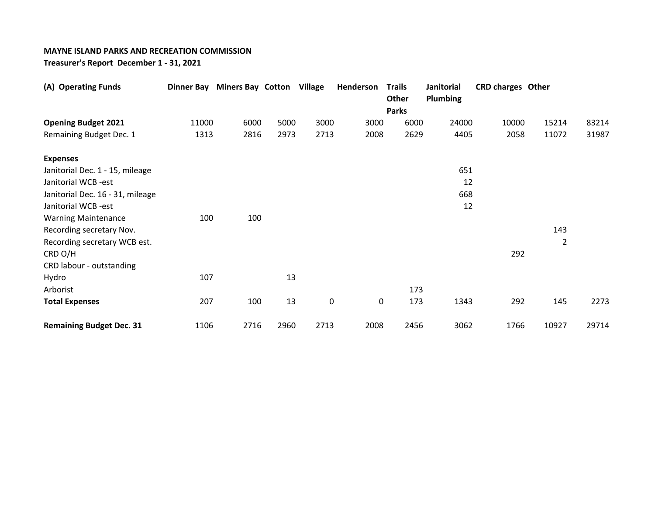## **MAYNE ISLAND PARKS AND RECREATION COMMISSION**

**Treasurer's Report December 1 - 31, 2021** 

| (A) Operating Funds              |       | Dinner Bay Miners Bay Cotton Village |      |           | Henderson | <b>Trails</b><br>Other | Janitorial<br><b>Plumbing</b> | <b>CRD charges Other</b> |                |       |
|----------------------------------|-------|--------------------------------------|------|-----------|-----------|------------------------|-------------------------------|--------------------------|----------------|-------|
|                                  |       |                                      |      |           |           | <b>Parks</b>           |                               |                          |                |       |
| <b>Opening Budget 2021</b>       | 11000 | 6000                                 | 5000 | 3000      | 3000      | 6000                   | 24000                         | 10000                    | 15214          | 83214 |
| Remaining Budget Dec. 1          | 1313  | 2816                                 | 2973 | 2713      | 2008      | 2629                   | 4405                          | 2058                     | 11072          | 31987 |
| <b>Expenses</b>                  |       |                                      |      |           |           |                        |                               |                          |                |       |
| Janitorial Dec. 1 - 15, mileage  |       |                                      |      |           |           |                        | 651                           |                          |                |       |
| Janitorial WCB -est              |       |                                      |      |           |           |                        | 12                            |                          |                |       |
| Janitorial Dec. 16 - 31, mileage |       |                                      |      |           |           |                        | 668                           |                          |                |       |
| Janitorial WCB -est              |       |                                      |      |           |           |                        | 12                            |                          |                |       |
| <b>Warning Maintenance</b>       | 100   | 100                                  |      |           |           |                        |                               |                          |                |       |
| Recording secretary Nov.         |       |                                      |      |           |           |                        |                               |                          | 143            |       |
| Recording secretary WCB est.     |       |                                      |      |           |           |                        |                               |                          | $\overline{2}$ |       |
| CRD O/H                          |       |                                      |      |           |           |                        |                               | 292                      |                |       |
| CRD labour - outstanding         |       |                                      |      |           |           |                        |                               |                          |                |       |
| Hydro                            | 107   |                                      | 13   |           |           |                        |                               |                          |                |       |
| Arborist                         |       |                                      |      |           |           | 173                    |                               |                          |                |       |
| <b>Total Expenses</b>            | 207   | 100                                  | 13   | $\pmb{0}$ | $\pmb{0}$ | 173                    | 1343                          | 292                      | 145            | 2273  |
| <b>Remaining Budget Dec. 31</b>  | 1106  | 2716                                 | 2960 | 2713      | 2008      | 2456                   | 3062                          | 1766                     | 10927          | 29714 |